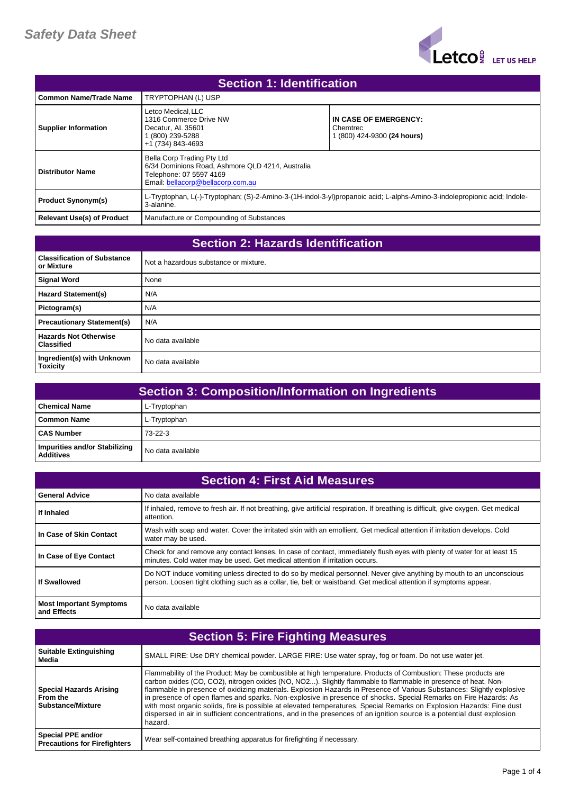

| <b>Section 1: Identification</b>  |                                                                                                                                                |                                                                                                                           |
|-----------------------------------|------------------------------------------------------------------------------------------------------------------------------------------------|---------------------------------------------------------------------------------------------------------------------------|
| <b>Common Name/Trade Name</b>     | TRYPTOPHAN (L) USP                                                                                                                             |                                                                                                                           |
| <b>Supplier Information</b>       | Letco Medical. LLC<br>1316 Commerce Drive NW<br>Decatur, AL 35601<br>(800) 239-5288<br>+1 (734) 843-4693                                       | IN CASE OF EMERGENCY:<br>Chemtrec<br>1 (800) 424-9300 (24 hours)                                                          |
| <b>Distributor Name</b>           | Bella Corp Trading Pty Ltd<br>6/34 Dominions Road, Ashmore QLD 4214, Australia<br>Telephone: 07 5597 4169<br>Email: bellacorp@bellacorp.com.au |                                                                                                                           |
| <b>Product Synonym(s)</b>         | 3-alanine.                                                                                                                                     | L-Tryptophan, L(-)-Tryptophan; (S)-2-Amino-3-(1H-indol-3-yl)propanoic acid; L-alphs-Amino-3-indolepropionic acid; Indole- |
| <b>Relevant Use(s) of Product</b> | Manufacture or Compounding of Substances                                                                                                       |                                                                                                                           |

| <b>Section 2: Hazards Identification</b>          |                                       |
|---------------------------------------------------|---------------------------------------|
| <b>Classification of Substance</b><br>or Mixture  | Not a hazardous substance or mixture. |
| <b>Signal Word</b>                                | None                                  |
| <b>Hazard Statement(s)</b>                        | N/A                                   |
| Pictogram(s)                                      | N/A                                   |
| <b>Precautionary Statement(s)</b>                 | N/A                                   |
| <b>Hazards Not Otherwise</b><br><b>Classified</b> | No data available                     |
| Ingredient(s) with Unknown<br><b>Toxicity</b>     | No data available                     |

| <b>Section 3: Composition/Information on Ingredients</b> |                   |
|----------------------------------------------------------|-------------------|
| l Chemical Name                                          | L-Tryptophan      |
| Common Name                                              | L-Tryptophan      |
| <b>CAS Number</b>                                        | $73-22-3$         |
| Impurities and/or Stabilizing<br><b>Additives</b>        | No data available |

| <b>Section 4: First Aid Measures</b>          |                                                                                                                                                                                                                                           |
|-----------------------------------------------|-------------------------------------------------------------------------------------------------------------------------------------------------------------------------------------------------------------------------------------------|
| <b>General Advice</b>                         | No data available                                                                                                                                                                                                                         |
| If Inhaled                                    | If inhaled, remove to fresh air. If not breathing, give artificial respiration. If breathing is difficult, give oxygen. Get medical<br>attention.                                                                                         |
| In Case of Skin Contact                       | Wash with soap and water. Cover the irritated skin with an emollient. Get medical attention if irritation develops. Cold<br>water may be used.                                                                                            |
| In Case of Eye Contact                        | Check for and remove any contact lenses. In case of contact, immediately flush eyes with plenty of water for at least 15<br>minutes. Cold water may be used. Get medical attention if irritation occurs.                                  |
| If Swallowed                                  | Do NOT induce vomiting unless directed to do so by medical personnel. Never give anything by mouth to an unconscious<br>person. Loosen tight clothing such as a collar, tie, belt or waistband. Get medical attention if symptoms appear. |
| <b>Most Important Symptoms</b><br>and Effects | No data available                                                                                                                                                                                                                         |

| <b>Section 5: Fire Fighting Measures</b>                               |                                                                                                                                                                                                                                                                                                                                                                                                                                                                                                                                                                                                                                                                                                                                            |
|------------------------------------------------------------------------|--------------------------------------------------------------------------------------------------------------------------------------------------------------------------------------------------------------------------------------------------------------------------------------------------------------------------------------------------------------------------------------------------------------------------------------------------------------------------------------------------------------------------------------------------------------------------------------------------------------------------------------------------------------------------------------------------------------------------------------------|
| <b>Suitable Extinguishing</b><br>Media                                 | SMALL FIRE: Use DRY chemical powder. LARGE FIRE: Use water spray, fog or foam. Do not use water jet.                                                                                                                                                                                                                                                                                                                                                                                                                                                                                                                                                                                                                                       |
| <b>Special Hazards Arising</b><br>From the<br><b>Substance/Mixture</b> | Flammability of the Product: May be combustible at high temperature. Products of Combustion: These products are<br>carbon oxides (CO, CO2), nitrogen oxides (NO, NO2). Slightly flammable to flammable in presence of heat. Non-<br>flammable in presence of oxidizing materials. Explosion Hazards in Presence of Various Substances: Slightly explosive<br>in presence of open flames and sparks. Non-explosive in presence of shocks. Special Remarks on Fire Hazards: As<br>with most organic solids, fire is possible at elevated temperatures. Special Remarks on Explosion Hazards: Fine dust<br>dispersed in air in sufficient concentrations, and in the presences of an ignition source is a potential dust explosion<br>hazard. |
| Special PPE and/or<br><b>Precautions for Firefighters</b>              | Wear self-contained breathing apparatus for firefighting if necessary.                                                                                                                                                                                                                                                                                                                                                                                                                                                                                                                                                                                                                                                                     |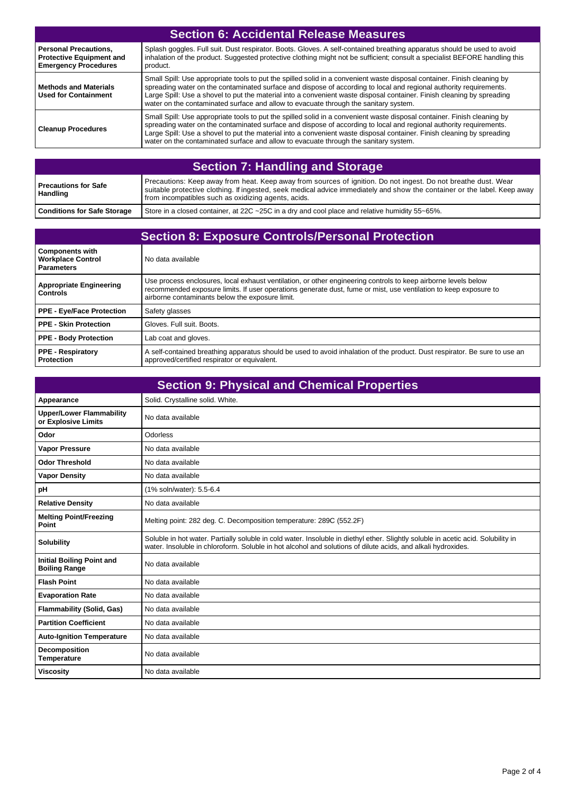| <b>Section 6: Accidental Release Measures</b>                                                  |                                                                                                                                                                                                                                                                                                                                                                                                                                                                  |
|------------------------------------------------------------------------------------------------|------------------------------------------------------------------------------------------------------------------------------------------------------------------------------------------------------------------------------------------------------------------------------------------------------------------------------------------------------------------------------------------------------------------------------------------------------------------|
| <b>Personal Precautions.</b><br><b>Protective Equipment and</b><br><b>Emergency Procedures</b> | Splash goggles. Full suit. Dust respirator. Boots. Gloves. A self-contained breathing apparatus should be used to avoid<br>inhalation of the product. Suggested protective clothing might not be sufficient; consult a specialist BEFORE handling this<br>product.                                                                                                                                                                                               |
| <b>Methods and Materials</b><br><b>Used for Containment</b>                                    | Small Spill: Use appropriate tools to put the spilled solid in a convenient waste disposal container. Finish cleaning by<br>spreading water on the contaminated surface and dispose of according to local and regional authority requirements.<br>Large Spill: Use a shovel to put the material into a convenient waste disposal container. Finish cleaning by spreading<br>water on the contaminated surface and allow to evacuate through the sanitary system. |
| <b>Cleanup Procedures</b>                                                                      | Small Spill: Use appropriate tools to put the spilled solid in a convenient waste disposal container. Finish cleaning by<br>spreading water on the contaminated surface and dispose of according to local and regional authority requirements.<br>Large Spill: Use a shovel to put the material into a convenient waste disposal container. Finish cleaning by spreading<br>water on the contaminated surface and allow to evacuate through the sanitary system. |

| <b>Section 7: Handling and Storage</b>  |                                                                                                                                                                                                                                                                                                    |
|-----------------------------------------|----------------------------------------------------------------------------------------------------------------------------------------------------------------------------------------------------------------------------------------------------------------------------------------------------|
| <b>Precautions for Safe</b><br>Handling | Precautions: Keep away from heat. Keep away from sources of ignition. Do not ingest. Do not breathe dust. Wear<br>suitable protective clothing. If ingested, seek medical advice immediately and show the container or the label. Keep away<br>from incompatibles such as oxidizing agents, acids. |
| <b>Conditions for Safe Storage</b>      | Store in a closed container, at 22C ~25C in a dry and cool place and relative humidity 55~65%.                                                                                                                                                                                                     |

| <b>Section 8: Exposure Controls/Personal Protection</b>                 |                                                                                                                                                                                                                                                                                       |
|-------------------------------------------------------------------------|---------------------------------------------------------------------------------------------------------------------------------------------------------------------------------------------------------------------------------------------------------------------------------------|
| <b>Components with</b><br><b>Workplace Control</b><br><b>Parameters</b> | No data available                                                                                                                                                                                                                                                                     |
| <b>Appropriate Engineering</b><br><b>Controls</b>                       | Use process enclosures, local exhaust ventilation, or other engineering controls to keep airborne levels below<br>recommended exposure limits. If user operations generate dust, fume or mist, use ventilation to keep exposure to<br>airborne contaminants below the exposure limit. |
| <b>PPE - Eye/Face Protection</b>                                        | Safety glasses                                                                                                                                                                                                                                                                        |
| <b>PPE - Skin Protection</b>                                            | Gloves, Full suit, Boots.                                                                                                                                                                                                                                                             |
| <b>PPE - Body Protection</b>                                            | Lab coat and gloves.                                                                                                                                                                                                                                                                  |
| <b>PPE - Respiratory</b><br>Protection                                  | A self-contained breathing apparatus should be used to avoid inhalation of the product. Dust respirator. Be sure to use an<br>approved/certified respirator or equivalent.                                                                                                            |

|                                                          | <b>Section 9: Physical and Chemical Properties</b>                                                                                                                                                                                                |
|----------------------------------------------------------|---------------------------------------------------------------------------------------------------------------------------------------------------------------------------------------------------------------------------------------------------|
| Appearance                                               | Solid. Crystalline solid. White.                                                                                                                                                                                                                  |
| <b>Upper/Lower Flammability</b><br>or Explosive Limits   | No data available                                                                                                                                                                                                                                 |
| Odor                                                     | Odorless                                                                                                                                                                                                                                          |
| <b>Vapor Pressure</b>                                    | No data available                                                                                                                                                                                                                                 |
| <b>Odor Threshold</b>                                    | No data available                                                                                                                                                                                                                                 |
| <b>Vapor Density</b>                                     | No data available                                                                                                                                                                                                                                 |
| pH                                                       | (1% soln/water): 5.5-6.4                                                                                                                                                                                                                          |
| <b>Relative Density</b>                                  | No data available                                                                                                                                                                                                                                 |
| <b>Melting Point/Freezing</b><br>Point                   | Melting point: 282 deg. C. Decomposition temperature: 289C (552.2F)                                                                                                                                                                               |
| <b>Solubility</b>                                        | Soluble in hot water. Partially soluble in cold water. Insoluble in diethyl ether. Slightly soluble in acetic acid. Solubility in<br>water. Insoluble in chloroform. Soluble in hot alcohol and solutions of dilute acids, and alkali hydroxides. |
| <b>Initial Boiling Point and</b><br><b>Boiling Range</b> | No data available                                                                                                                                                                                                                                 |
| <b>Flash Point</b>                                       | No data available                                                                                                                                                                                                                                 |
| <b>Evaporation Rate</b>                                  | No data available                                                                                                                                                                                                                                 |
| <b>Flammability (Solid, Gas)</b>                         | No data available                                                                                                                                                                                                                                 |
| <b>Partition Coefficient</b>                             | No data available                                                                                                                                                                                                                                 |
| <b>Auto-Ignition Temperature</b>                         | No data available                                                                                                                                                                                                                                 |
| Decomposition<br><b>Temperature</b>                      | No data available                                                                                                                                                                                                                                 |
| <b>Viscosity</b>                                         | No data available                                                                                                                                                                                                                                 |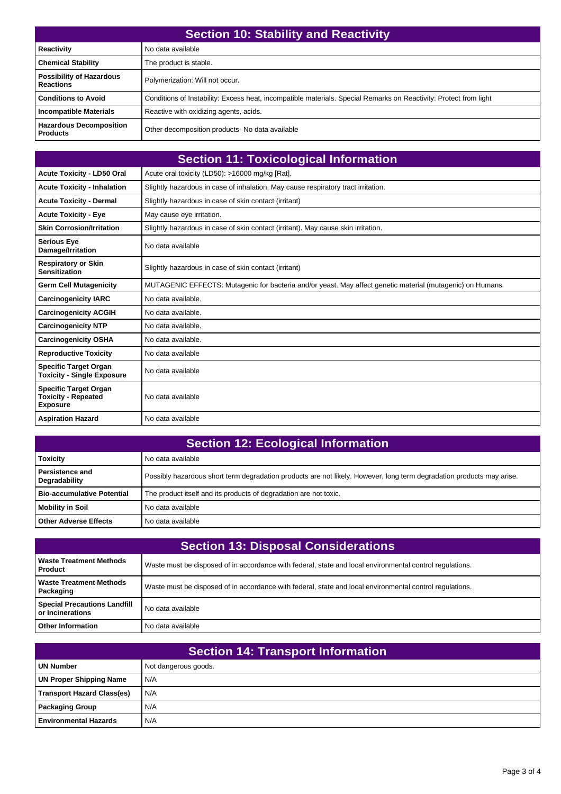| <b>Section 10: Stability and Reactivity</b>         |                                                                                                                   |
|-----------------------------------------------------|-------------------------------------------------------------------------------------------------------------------|
| Reactivity                                          | No data available                                                                                                 |
| <b>Chemical Stability</b>                           | The product is stable.                                                                                            |
| <b>Possibility of Hazardous</b><br><b>Reactions</b> | Polymerization: Will not occur.                                                                                   |
| <b>Conditions to Avoid</b>                          | Conditions of Instability: Excess heat, incompatible materials. Special Remarks on Reactivity: Protect from light |
| <b>Incompatible Materials</b>                       | Reactive with oxidizing agents, acids.                                                                            |
| <b>Hazardous Decomposition</b><br><b>Products</b>   | Other decomposition products- No data available                                                                   |

|                                                                               | <b>Section 11: Toxicological Information</b>                                                               |
|-------------------------------------------------------------------------------|------------------------------------------------------------------------------------------------------------|
| <b>Acute Toxicity - LD50 Oral</b>                                             | Acute oral toxicity (LD50): >16000 mg/kg [Rat].                                                            |
| <b>Acute Toxicity - Inhalation</b>                                            | Slightly hazardous in case of inhalation. May cause respiratory tract irritation.                          |
| <b>Acute Toxicity - Dermal</b>                                                | Slightly hazardous in case of skin contact (irritant)                                                      |
| <b>Acute Toxicity - Eye</b>                                                   | May cause eye irritation.                                                                                  |
| <b>Skin Corrosion/Irritation</b>                                              | Slightly hazardous in case of skin contact (irritant). May cause skin irritation.                          |
| <b>Serious Eye</b><br>Damage/Irritation                                       | No data available                                                                                          |
| <b>Respiratory or Skin</b><br><b>Sensitization</b>                            | Slightly hazardous in case of skin contact (irritant)                                                      |
| <b>Germ Cell Mutagenicity</b>                                                 | MUTAGENIC EFFECTS: Mutagenic for bacteria and/or yeast. May affect genetic material (mutagenic) on Humans. |
| <b>Carcinogenicity IARC</b>                                                   | No data available.                                                                                         |
| <b>Carcinogenicity ACGIH</b>                                                  | No data available.                                                                                         |
| <b>Carcinogenicity NTP</b>                                                    | No data available.                                                                                         |
| <b>Carcinogenicity OSHA</b>                                                   | No data available.                                                                                         |
| <b>Reproductive Toxicity</b>                                                  | No data available                                                                                          |
| <b>Specific Target Organ</b><br><b>Toxicity - Single Exposure</b>             | No data available                                                                                          |
| <b>Specific Target Organ</b><br><b>Toxicity - Repeated</b><br><b>Exposure</b> | No data available                                                                                          |
| <b>Aspiration Hazard</b>                                                      | No data available                                                                                          |

| <b>Section 12: Ecological Information</b> |                                                                                                                       |
|-------------------------------------------|-----------------------------------------------------------------------------------------------------------------------|
| <b>Toxicity</b>                           | No data available                                                                                                     |
| <b>Persistence and</b><br>Degradability   | Possibly hazardous short term degradation products are not likely. However, long term degradation products may arise. |
| <b>Bio-accumulative Potential</b>         | The product itself and its products of degradation are not toxic.                                                     |
| Mobility in Soil                          | No data available                                                                                                     |
| <b>Other Adverse Effects</b>              | No data available                                                                                                     |

| <b>Section 13: Disposal Considerations</b>                |                                                                                                          |
|-----------------------------------------------------------|----------------------------------------------------------------------------------------------------------|
| <b>Waste Treatment Methods</b><br><b>Product</b>          | Waste must be disposed of in accordance with federal, state and local environmental control regulations. |
| <b>Waste Treatment Methods</b><br>  Packaging             | Waste must be disposed of in accordance with federal, state and local environmental control regulations. |
| <b>Special Precautions Landfill</b><br>l or Incinerations | No data available                                                                                        |
| <b>Other Information</b>                                  | No data available                                                                                        |

| <b>Section 14: Transport Information</b> |                      |  |
|------------------------------------------|----------------------|--|
| <b>UN Number</b>                         | Not dangerous goods. |  |
| <b>UN Proper Shipping Name</b>           | N/A                  |  |
| <b>Transport Hazard Class(es)</b>        | N/A                  |  |
| <b>Packaging Group</b>                   | N/A                  |  |
| <b>Environmental Hazards</b>             | N/A                  |  |